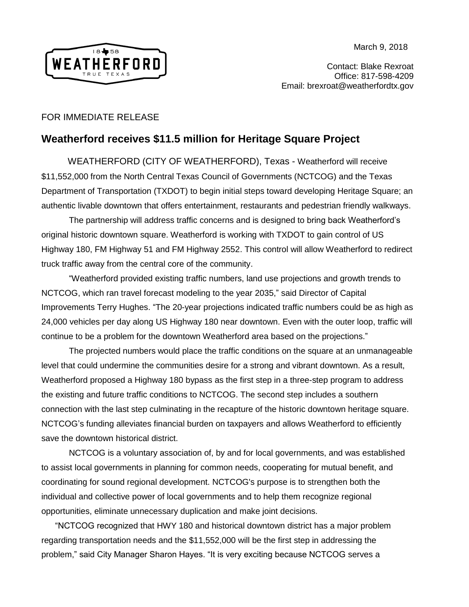March 9, 2018



Contact: Blake Rexroat Office: 817-598-4209 Email: brexroat@weatherfordtx.gov

## FOR IMMEDIATE RELEASE

## **Weatherford receives \$11.5 million for Heritage Square Project**

 WEATHERFORD (CITY OF WEATHERFORD), Texas - Weatherford will receive \$11,552,000 from the North Central Texas Council of Governments (NCTCOG) and the Texas Department of Transportation (TXDOT) to begin initial steps toward developing Heritage Square; an authentic livable downtown that offers entertainment, restaurants and pedestrian friendly walkways.

The partnership will address traffic concerns and is designed to bring back Weatherford's original historic downtown square. Weatherford is working with TXDOT to gain control of US Highway 180, FM Highway 51 and FM Highway 2552. This control will allow Weatherford to redirect truck traffic away from the central core of the community.

"Weatherford provided existing traffic numbers, land use projections and growth trends to NCTCOG, which ran travel forecast modeling to the year 2035," said Director of Capital Improvements Terry Hughes. "The 20-year projections indicated traffic numbers could be as high as 24,000 vehicles per day along US Highway 180 near downtown. Even with the outer loop, traffic will continue to be a problem for the downtown Weatherford area based on the projections."

The projected numbers would place the traffic conditions on the square at an unmanageable level that could undermine the communities desire for a strong and vibrant downtown. As a result, Weatherford proposed a Highway 180 bypass as the first step in a three-step program to address the existing and future traffic conditions to NCTCOG. The second step includes a southern connection with the last step culminating in the recapture of the historic downtown heritage square. NCTCOG's funding alleviates financial burden on taxpayers and allows Weatherford to efficiently save the downtown historical district.

NCTCOG is a voluntary association of, by and for local governments, and was established to assist local governments in planning for common needs, cooperating for mutual benefit, and coordinating for sound regional development. NCTCOG's purpose is to strengthen both the individual and collective power of local governments and to help them recognize regional opportunities, eliminate unnecessary duplication and make joint decisions.

"NCTCOG recognized that HWY 180 and historical downtown district has a major problem regarding transportation needs and the \$11,552,000 will be the first step in addressing the problem," said City Manager Sharon Hayes. "It is very exciting because NCTCOG serves a